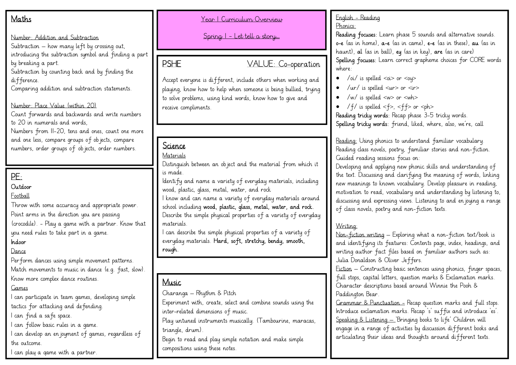## **Maths**

#### Number: Addition and Subtraction

Subtraction – how many left by crossing out, introducing the subtraction symbol and finding a part

by breaking a part.

Subtraction by counting back and by finding the difference.

Comparing addition and subtraction statements.

## Number: Place Value (within 20)

Count forwards and backwards and write numbers to 20 in numerals and words,

Numbers from 11-20, tens and ones, count one more and one less, compare groups of objects, compare numbers, order groups of objects, order numbers.

# PE:

### **Outdoor**

**Football** 

Throw with some accuracy and appropriate power. Point arms in the direction you are passing (crocodile). - Play a game with a partner. Know that you need rules to take part in a game.

## Indoor

### Dance

Perform dances using simple movement patterns. Match movements to music in dance (e.g. fast, slow). Know more complex dance routines.

#### Games

I can participate in team games, developing simple tactics for attacking and defending.

I can find a safe space.

I can follow basic rules in a game.

I can develop an enjoyment of games, regardless of the outcome.

I can play a game with a partner.

#### Year 1 Curriculum Overview

Spring 1 – Let tell a story…

PSHE VALUE: Co-operation

Accept everyone is different, include others when working and playing, know how to help when someone is being bullied, trying to solve problems, using kind words, know how to give and receive compliments.

## Science

#### Materials

Distinguish between an object and the material from which it is made.

Identify and name a variety of everyday materials, including wood, plastic, glass, metal, water, and rock

I know and can name a variety of everyday materials around school including wood, plastic, glass, metal, water, and rock. Describe the simple physical properties of a variety of everyday materials.

I can describe the simple physical properties of a variety of everyday materials. Hard, soft, stretchy, bendy, smooth, rough.

## Music

Charanga – Rhythm & Pitch

Experiment with, create, select and combine sounds using the inter-related dimensions of music.

Play untuned instruments musically. (Tambourine, maracas, triangle, drum).

Begin to read and play simple notation and make simple compositions using these notes.

#### English - Reading Phonics:

Reading focuses: Learn phase 5 sounds and alternative sounds. o-e (as in home), a-e (as in came), e-e (as in these), au (as in haunt), al (as in ball), ey (as in key), are (as in care) Spelling focuses: Learn correct grapheme choices for CORE words where:

- $\sqrt{\mathsf{oi}}$  is spelled  $\mathsf{<} \mathsf{o}$ i $\mathsf{>}$  or  $\mathsf{<} \mathsf{ou} \mathsf{>}$
- /ur/ is spelled  $\langle ur \rangle$  or  $\langle ir \rangle$
- /w/ is spelled <w> or <wh>
- /f/ is spelled  $<$ f>,  $<$ ff> or  $<$ ph> Reading tricky words: Recap phase 3-5 tricky words. Spelling tricky words: friend, liked, where, also, we're, call

Reading: Using phonics to understand familiar vocabulary. Reading class novels, poetry, familiar stories and non-fiction. Guided reading sessions focus on:

Developing and applying new phonic skills and understanding of the text. Discussing and clarifying the meaning of words, linking new meanings to known vocabulary. Develop pleasure in reading, motivation to read, vocabulary and understanding by listening to, discussing and expressing views. Listening to and en joying a range of class novels, poetry and non-fiction texts.

## Writing:

Non-fiction writing – Exploring what a non-fiction text/book is and identifying its features: Contents page, index, headings, and writing author fact files based on familiar authors such as: Julia Donaldson & Oliver Jeffers.

Fiction – Constructing basic sentences using phonics, finger spaces, full stops, capital letters, question marks & Exclamation marks. Character descriptions based around Winnie the Pooh & Paddington Bear.

Grammar & Punctuation - Recap question marks and full stops. Introduce exclamation marks. Recap 's' suffix and introduce 'es'. Speaking & Listening – 'Bringing books to life' Children will engage in a range of activities by discussion different books and articulating their ideas and thoughts around different texts.